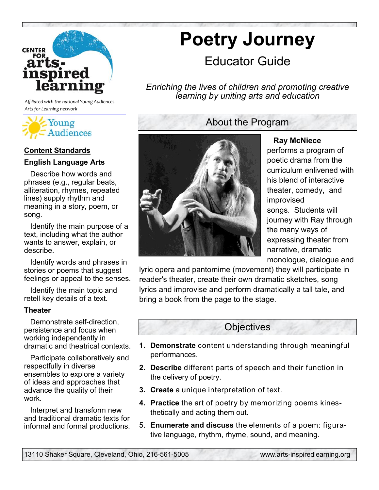

*Affiliated with the national Young Audiences Arts for Learning network*



### **Content Standards**

#### **English Language Arts**

 Describe how words and phrases (e.g., regular beats, alliteration, rhymes, repeated lines) supply rhythm and meaning in a story, poem, or song.

 Identify the main purpose of a text, including what the author wants to answer, explain, or describe.

 Identify words and phrases in stories or poems that suggest feelings or appeal to the senses.

 Identify the main topic and retell key details of a text.

#### **Theater**

 Demonstrate self-direction, persistence and focus when working independently in dramatic and theatrical contexts.

 Participate collaboratively and respectfully in diverse ensembles to explore a variety of ideas and approaches that advance the quality of their work.

 Interpret and transform new and traditional dramatic texts for informal and formal productions.

# **Poetry Journey**

# Educator Guide

*Enriching the lives of children and promoting creative learning by uniting arts and education* 

# About the Program



 **Ray McNiece**  performs a program of poetic drama from the curriculum enlivened with his blend of interactive theater, comedy, and improvised songs. Students will journey with Ray through the many ways of expressing theater from narrative, dramatic monologue, dialogue and

lyric opera and pantomime (movement) they will participate in reader's theater, create their own dramatic sketches, song lyrics and improvise and perform dramatically a tall tale, and bring a book from the page to the stage.

## **Objectives**

- **1. Demonstrate** content understanding through meaningful performances.
- **2. Describe** different parts of speech and their function in the delivery of poetry.
- **3. Create** a unique interpretation of text.
- **4. Practice** the art of poetry by memorizing poems kinesthetically and acting them out.
- 5. **Enumerate and discuss** the elements of a poem: figurative language, rhythm, rhyme, sound, and meaning.